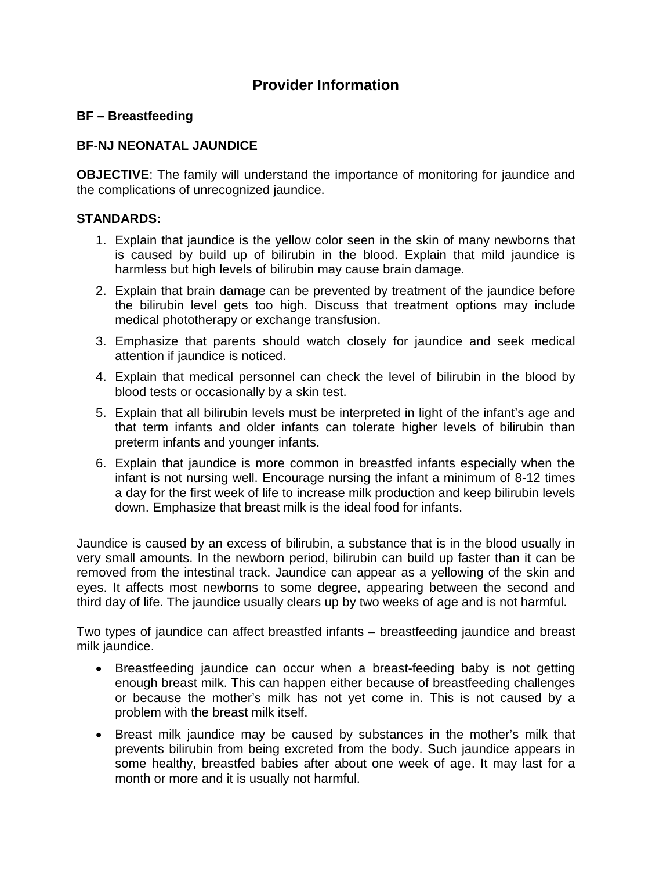## **Provider Information**

## **BF – Breastfeeding**

## **BF-NJ NEONATAL JAUNDICE**

**OBJECTIVE:** The family will understand the importance of monitoring for jaundice and the complications of unrecognized jaundice.

## **STANDARDS:**

- 1. Explain that jaundice is the yellow color seen in the skin of many newborns that is caused by build up of bilirubin in the blood. Explain that mild jaundice is harmless but high levels of bilirubin may cause brain damage.
- 2. Explain that brain damage can be prevented by treatment of the jaundice before the bilirubin level gets too high. Discuss that treatment options may include medical phototherapy or exchange transfusion.
- 3. Emphasize that parents should watch closely for jaundice and seek medical attention if jaundice is noticed.
- 4. Explain that medical personnel can check the level of bilirubin in the blood by blood tests or occasionally by a skin test.
- 5. Explain that all bilirubin levels must be interpreted in light of the infant's age and that term infants and older infants can tolerate higher levels of bilirubin than preterm infants and younger infants.
- 6. Explain that jaundice is more common in breastfed infants especially when the infant is not nursing well. Encourage nursing the infant a minimum of 8-12 times a day for the first week of life to increase milk production and keep bilirubin levels down. Emphasize that breast milk is the ideal food for infants.

Jaundice is caused by an excess of bilirubin, a substance that is in the blood usually in very small amounts. In the newborn period, bilirubin can build up faster than it can be removed from the intestinal track. Jaundice can appear as a yellowing of the skin and eyes. It affects most newborns to some degree, appearing between the second and third day of life. The jaundice usually clears up by two weeks of age and is not harmful.

Two types of jaundice can affect breastfed infants – breastfeeding jaundice and breast milk jaundice.

- Breastfeeding jaundice can occur when a breast-feeding baby is not getting enough breast milk. This can happen either because of breastfeeding challenges or because the mother's milk has not yet come in. This is not caused by a problem with the breast milk itself.
- Breast milk jaundice may be caused by substances in the mother's milk that prevents bilirubin from being excreted from the body. Such jaundice appears in some healthy, breastfed babies after about one week of age. It may last for a month or more and it is usually not harmful.